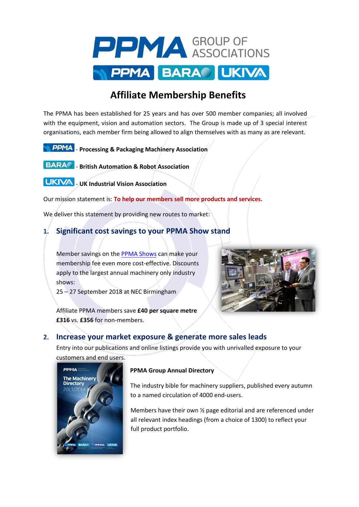

# **Affiliate Membership Benefits**

The PPMA has been established for more than 30 years and has over  $\ddot{\textbf{b}}$  member companies; all involved with the equipment, vision and automation sectors. The Group is made up of 3 special interest organisations, each member firm being allowed to align themselves with as many as are relevant.

**PPMA** - Processing & Packaging Machinery Association

**BARAC** - British Automation & Robot Association

**LIKIMA** - UK Industrial Vision Association

Our mission statement is: **To help our members sell more products and services.** 

We deliver this statement by providing new routes to market:

## **1. Significant cost savings to your PPMA Show stand**

Member savings on the [PPMA Shows](http://www.ppmashow.co.uk/) can make your membership fee even more cost-effective. Discounts apply to the largest annual machinery only industry shows:

**&GE01 October 20îat NEC Birmingham** 

Affiliate PPMA members save **£ñòper square metre £316** vs. **£3óî**for non-members.

## **2. Increase your market exposure & generate more sales leads**

Entry into our publications and online listings provide you with unrivalled exposure to your customers and end users.

#### **PPMA Group Annual Directory**

The industry bible for machinery suppliers, published every autumn to a named circulation of 4000 end-users.

Members have their own ½ page editorial and are referenced under all relevant index headings (from a choice of 1300) to reflect your full product portfolio.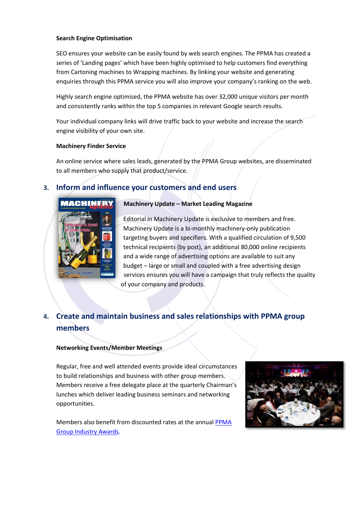#### **Search Engine Optimisation**

SEO ensures your website can be easily found by web search engines. The PPMA has created a series of 'Landing pages' which have been highly optimised to help customers find everything from Cartoning machines to Wrapping machines. By linking your website and generating enquiries through this PPMA service you will also improve your company's ranking on the web.

Highly search engine optimised, the PPMA website has over 32,000 unique visitors per month and consistently ranks within the top 5 companies in relevant Google search results.

Your individual company links will drive traffic back to your website and increase the search engine visibility of your own site.

#### **Machinery Finder Service**

An online service where sales leads, generated by the PPMA Group websites, are disseminated to all members who supply that product/service.

## **3. Inform and influence your customers and end users**



#### **Machinery Update – Market Leading Magazine**

Editorial in Machinery Update is exclusive to members and free. Machinery Update is a bi-monthly machinery-only publication targeting buyers and specifiers. With a qualified circulation of 9,500 technical recipients (by post), an additional 80,000 online recipients and a wide range of advertising options are available to suit any budget – large or small and coupled with a free advertising design services ensures you will have a campaign that truly reflects the quality of your company and products.

## **4. Create and maintain business and sales relationships with PPMA group members**

#### **Networking Events/Member Meetings**

Regular, free and well attended events provide ideal circumstances to build relationships and business with other group members. Members receive a free delegate place at the quarterly Chairman's lunches which deliver leading business seminars and networking opportunities.

Members also benefit from discounted rates at the annual [PPMA](http://www.ppmashow.co.uk/Awards) [Group Industry Awards.](http://www.ppmashow.co.uk/Awards)

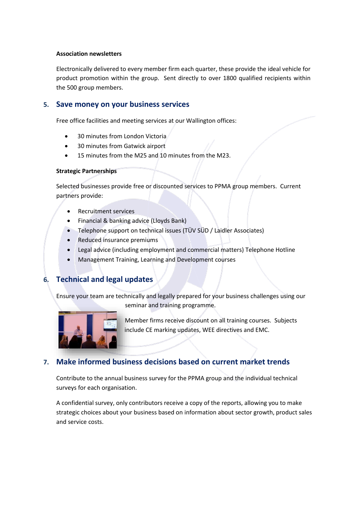#### **Association newsletters**

Electronically delivered to every member firm each quarter, these provide the ideal vehicle for product promotion within the group. Sent directly to over 1800 qualified recipients within the 500 group members.

#### **5. Save money on your business services**

Free office facilities and meeting services at our Wallington offices:

- 30 minutes from London Victoria
- 30 minutes from Gatwick airport
- 15 minutes from the M25 and 10 minutes from the M23.

#### **Strategic Partnerships**

Selected businesses provide free or discounted services to PPMA group members. Current partners provide:

- Recruitment services
- Financial & banking advice (Lloyds Bank)
- Telephone support on technical issues (TÜV SÜD / Laidler Associates)
- Reduced insurance premiums
- Legal advice (including employment and commercial matters) Telephone Hotline
- Management Training, Learning and Development courses

## **6. Technical and legal updates**

Ensure your team are technically and legally prepared for your business challenges using our seminar and training programme.



Member firms receive discount on all training courses. Subjects include CE marking updates, WEE directives and EMC.

## **7. Make informed business decisions based on current market trends**

Contribute to the annual business survey for the PPMA group and the individual technical surveys for each organisation.

A confidential survey, only contributors receive a copy of the reports, allowing you to make strategic choices about your business based on information about sector growth, product sales and service costs.